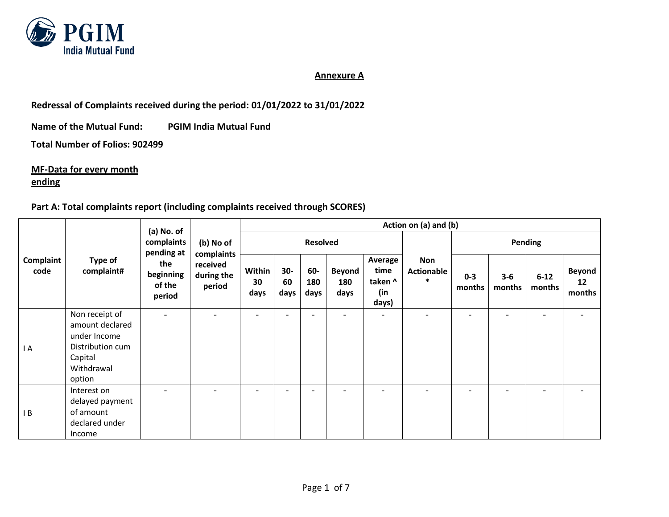

#### **Annexure A**

**Redressal of Complaints received during the period: 01/01/2022 to 31/01/2022**

**Name of the Mutual Fund: PGIM India Mutual Fund**

**Total Number of Folios: 902499**

**MF-Data for every month**

## **ending**

#### **Part A: Total complaints report (including complaints received through SCORES)**

|                   | Type of<br>complaint#                                                                                    | (a) No. of<br>complaints<br>pending at<br>the<br>beginning<br>of the<br>period | (b) No of<br>complaints<br>received<br>during the<br>period | Action on (a) and (b)    |                          |                    |                              |                                            |                                    |                          |                          |                          |                               |  |
|-------------------|----------------------------------------------------------------------------------------------------------|--------------------------------------------------------------------------------|-------------------------------------------------------------|--------------------------|--------------------------|--------------------|------------------------------|--------------------------------------------|------------------------------------|--------------------------|--------------------------|--------------------------|-------------------------------|--|
| Complaint<br>code |                                                                                                          |                                                                                |                                                             | <b>Resolved</b>          |                          |                    |                              |                                            |                                    | Pending                  |                          |                          |                               |  |
|                   |                                                                                                          |                                                                                |                                                             | Within<br>30<br>days     | $30-$<br>60<br>days      | 60-<br>180<br>days | <b>Beyond</b><br>180<br>days | Average<br>time<br>taken ^<br>(in<br>days) | <b>Non</b><br>Actionable<br>$\ast$ | $0 - 3$<br>months        | $3 - 6$<br>months        | $6 - 12$<br>months       | <b>Beyond</b><br>12<br>months |  |
| I A               | Non receipt of<br>amount declared<br>under Income<br>Distribution cum<br>Capital<br>Withdrawal<br>option | $\qquad \qquad -$                                                              | $\overline{\phantom{0}}$                                    | $\overline{\phantom{0}}$ | $\overline{\phantom{a}}$ | -                  | $\overline{\phantom{0}}$     | $\overline{\phantom{0}}$                   | $\overline{\phantom{0}}$           | $\overline{\phantom{a}}$ | $\overline{\phantom{0}}$ | $\overline{\phantom{a}}$ |                               |  |
| IB                | Interest on<br>delayed payment<br>of amount<br>declared under<br>Income                                  |                                                                                |                                                             |                          | $\overline{\phantom{a}}$ |                    |                              |                                            |                                    |                          |                          |                          |                               |  |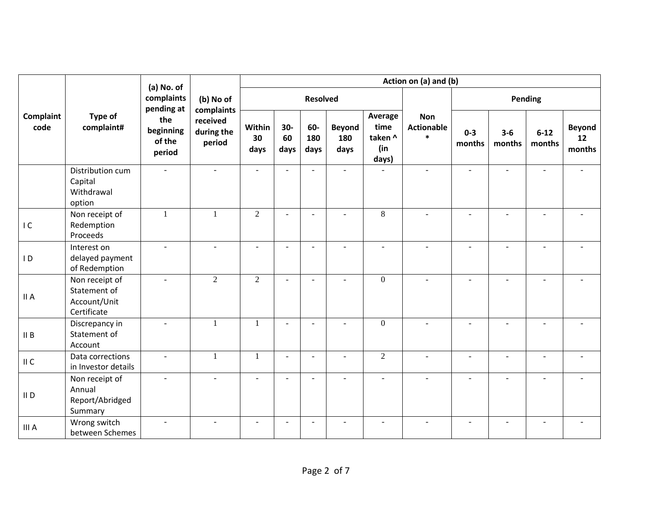|                   |                                                               | (a) No. of                           | Action on (a) and (b)            |                      |                          |                    |                              |                                            |                                           |                          |                 |                    |                               |
|-------------------|---------------------------------------------------------------|--------------------------------------|----------------------------------|----------------------|--------------------------|--------------------|------------------------------|--------------------------------------------|-------------------------------------------|--------------------------|-----------------|--------------------|-------------------------------|
|                   |                                                               | complaints<br>pending at             | (b) No of<br>complaints          | <b>Resolved</b>      |                          |                    |                              |                                            |                                           | Pending                  |                 |                    |                               |
| Complaint<br>code | Type of<br>complaint#                                         | the<br>beginning<br>of the<br>period | received<br>during the<br>period | Within<br>30<br>days | 30-<br>60<br>days        | 60-<br>180<br>days | <b>Beyond</b><br>180<br>days | Average<br>time<br>taken ^<br>(in<br>days) | <b>Non</b><br><b>Actionable</b><br>$\ast$ | $0 - 3$<br>months        | $3-6$<br>months | $6 - 12$<br>months | <b>Beyond</b><br>12<br>months |
|                   | Distribution cum<br>Capital<br>Withdrawal<br>option           |                                      |                                  |                      | ÷.                       |                    | ÷.                           |                                            | $\overline{a}$                            |                          |                 |                    |                               |
| IC                | Non receipt of<br>Redemption<br>Proceeds                      | $\mathbf{1}$                         | $\mathbf{1}$                     | $\overline{2}$       | $\sim$                   |                    |                              | 8                                          |                                           |                          |                 |                    |                               |
| $\overline{1}$    | Interest on<br>delayed payment<br>of Redemption               | $\mathbf{u}$                         |                                  | $\sim$               | $\sim$                   |                    | ÷.                           | $\overline{a}$                             | $\sim$                                    | $\overline{\phantom{a}}$ | $\sim$          | $\overline{a}$     |                               |
| II A              | Non receipt of<br>Statement of<br>Account/Unit<br>Certificate | $\sim$                               | $\overline{2}$                   | $\overline{2}$       | $\sim$                   |                    | ÷.                           | $\theta$                                   | $\sim$                                    | $\sim$                   | $\sim$          | $\overline{a}$     |                               |
| II B              | Discrepancy in<br>Statement of<br>Account                     | $\sim$                               | $\mathbf{1}$                     | 1                    | $\overline{\phantom{a}}$ | $\sim$             | $\sim$                       | $\overline{0}$                             | $\sim$                                    | $\blacksquare$           |                 | $\overline{a}$     |                               |
| II C              | Data corrections<br>in Investor details                       | ÷.                                   | $\mathbf{1}$                     | 1                    | $\sim$                   |                    |                              | $\overline{2}$                             | $\overline{a}$                            | $\overline{a}$           | $\overline{a}$  |                    |                               |
| $II$ D            | Non receipt of<br>Annual<br>Report/Abridged<br>Summary        | $\sim$                               | $\sim$                           | $\sim$               | $\sim$                   | $\sim$             | $\sim$                       | $\overline{a}$                             | $\mathbf{r}$                              | $\sim$                   | $\sim$          | $\omega$           | ٠                             |
| III A             | Wrong switch<br>between Schemes                               | $\equiv$                             |                                  | $\overline{a}$       | $\overline{a}$           |                    |                              | $\overline{a}$                             |                                           |                          |                 |                    |                               |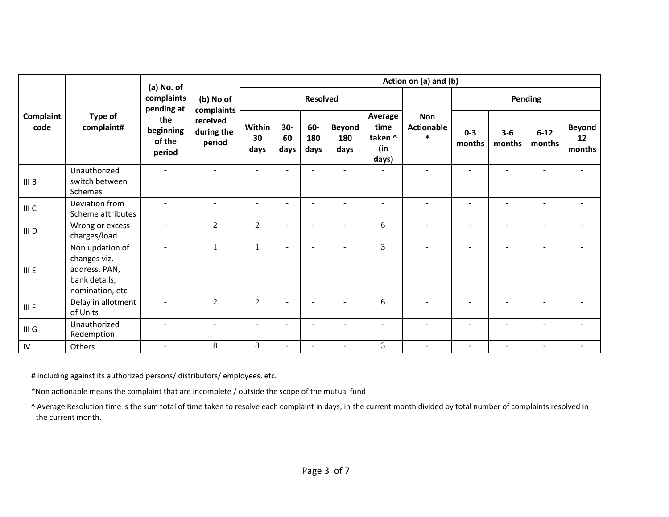|                   | Type of<br>complaint#                                                                | (a) No. of<br>complaints<br>pending at<br>the<br>beginning<br>of the<br>period | (b) No of<br>complaints<br>received<br>during the<br>period | Action on (a) and (b)    |                          |                          |                              |                                            |                                           |                          |                   |                    |                               |
|-------------------|--------------------------------------------------------------------------------------|--------------------------------------------------------------------------------|-------------------------------------------------------------|--------------------------|--------------------------|--------------------------|------------------------------|--------------------------------------------|-------------------------------------------|--------------------------|-------------------|--------------------|-------------------------------|
| Complaint<br>code |                                                                                      |                                                                                |                                                             |                          |                          | <b>Resolved</b>          |                              |                                            |                                           | Pending                  |                   |                    |                               |
|                   |                                                                                      |                                                                                |                                                             | Within<br>30<br>days     | 30-<br>60<br>days        | 60-<br>180<br>days       | <b>Beyond</b><br>180<br>days | Average<br>time<br>taken ^<br>(in<br>days) | <b>Non</b><br><b>Actionable</b><br>$\ast$ | $0 - 3$<br>months        | $3 - 6$<br>months | $6 - 12$<br>months | <b>Beyond</b><br>12<br>months |
| III B             | Unauthorized<br>switch between<br>Schemes                                            |                                                                                |                                                             | ÷.                       | ٠                        |                          | $\sim$                       |                                            |                                           |                          |                   |                    |                               |
| III C             | Deviation from<br>Scheme attributes                                                  | $\sim$                                                                         |                                                             | $\overline{\phantom{a}}$ | $\blacksquare$           | $\sim$                   | $\sim$                       | $\sim$                                     | $\overline{a}$                            | $\sim$                   |                   | $\overline{a}$     |                               |
| III D             | Wrong or excess<br>charges/load                                                      | ٠                                                                              | 2                                                           | 2                        | $\sim$                   | $\overline{\phantom{0}}$ | ٠                            | 6                                          | $\sim$                                    | $\overline{\phantom{a}}$ |                   | ٠                  |                               |
| III E             | Non updation of<br>changes viz.<br>address, PAN,<br>bank details,<br>nomination, etc | $\sim$                                                                         | 1                                                           | $\mathbf{1}$             | $\sim$                   | $\sim$                   | $\sim$                       | 3                                          | $\sim$                                    | $\sim$                   | $\sim$            | ٠                  | ۰                             |
| III F             | Delay in allotment<br>of Units                                                       |                                                                                | $\overline{2}$                                              | $\overline{2}$           | $\blacksquare$           | $\overline{\phantom{0}}$ | $\overline{\phantom{a}}$     | 6                                          | $\blacksquare$                            | $\overline{\phantom{a}}$ |                   | $\blacksquare$     |                               |
| III <sub>G</sub>  | Unauthorized<br>Redemption                                                           |                                                                                |                                                             | $\overline{a}$           | ٠                        | $\sim$                   |                              | $\overline{a}$                             |                                           |                          |                   | $\overline{a}$     |                               |
| ${\sf IV}$        | Others                                                                               |                                                                                | 8                                                           | 8                        | $\overline{\phantom{0}}$ |                          |                              | 3                                          |                                           |                          |                   |                    |                               |

# including against its authorized persons/ distributors/ employees. etc.

\*Non actionable means the complaint that are incomplete / outside the scope of the mutual fund

^ Average Resolution time is the sum total of time taken to resolve each complaint in days, in the current month divided by total number of complaints resolved in the current month.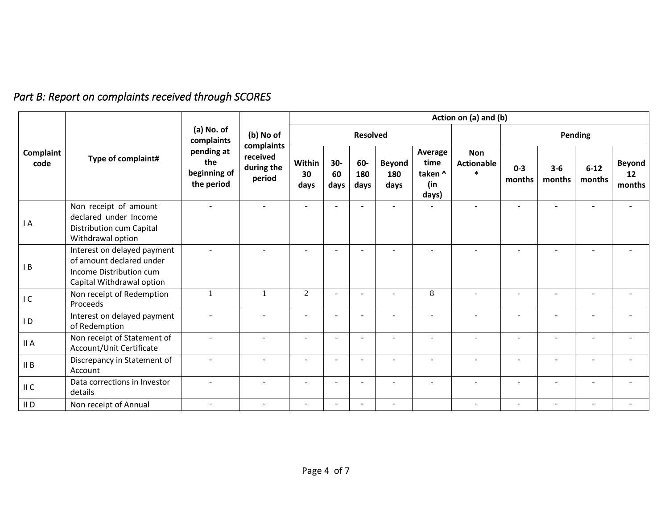# *Part B: Report on complaints received through SCORES*

|                   |                                                                                                                 | (a) No. of<br>complaints                        | (b) No of<br>complaints<br>received<br>during the<br>period | Action on (a) and (b)    |                          |                          |                              |                                            |                                           |                          |                          |                          |                               |
|-------------------|-----------------------------------------------------------------------------------------------------------------|-------------------------------------------------|-------------------------------------------------------------|--------------------------|--------------------------|--------------------------|------------------------------|--------------------------------------------|-------------------------------------------|--------------------------|--------------------------|--------------------------|-------------------------------|
| Complaint<br>code |                                                                                                                 |                                                 |                                                             |                          |                          | <b>Resolved</b>          |                              |                                            |                                           |                          | Pending                  |                          |                               |
|                   | Type of complaint#                                                                                              | pending at<br>the<br>beginning of<br>the period |                                                             | Within<br>30<br>days     | 30-<br>60<br>days        | 60-<br>180<br>days       | <b>Beyond</b><br>180<br>days | Average<br>time<br>taken ^<br>(in<br>days) | <b>Non</b><br><b>Actionable</b><br>$\ast$ | $0 - 3$<br>months        | $3 - 6$<br>months        | $6 - 12$<br>months       | <b>Beyond</b><br>12<br>months |
| IA                | Non receipt of amount<br>declared under Income<br>Distribution cum Capital<br>Withdrawal option                 | ÷                                               | $\overline{a}$                                              | $\overline{\phantom{a}}$ |                          |                          | $\overline{\phantom{a}}$     |                                            |                                           |                          |                          |                          |                               |
| $\mathsf{I}$ B    | Interest on delayed payment<br>of amount declared under<br>Income Distribution cum<br>Capital Withdrawal option | ÷                                               |                                                             | $\overline{\phantom{a}}$ | $\overline{\phantom{0}}$ |                          | $\overline{\phantom{a}}$     |                                            |                                           |                          | ۰                        |                          |                               |
| IC                | Non receipt of Redemption<br>Proceeds                                                                           |                                                 |                                                             | $\overline{2}$           | $\overline{\phantom{a}}$ |                          | $\overline{\phantom{a}}$     | 8                                          |                                           |                          | $\qquad \qquad -$        |                          |                               |
| $\overline{D}$    | Interest on delayed payment<br>of Redemption                                                                    |                                                 | ٠                                                           | $\overline{a}$           | $\equiv$                 |                          | ÷.                           | $\sim$                                     | $\blacksquare$                            | $\sim$                   | $\sim$                   |                          |                               |
| II A              | Non receipt of Statement of<br>Account/Unit Certificate                                                         | $\sim$                                          | $\blacksquare$                                              | $\overline{a}$           | $\overline{\phantom{a}}$ |                          | $\overline{\phantom{a}}$     | $\overline{\phantom{a}}$                   | $\overline{a}$                            | $\overline{\phantom{a}}$ | $\overline{\phantom{a}}$ | $\overline{\phantom{a}}$ | $\overline{\phantom{0}}$      |
| II B              | Discrepancy in Statement of<br>Account                                                                          |                                                 |                                                             | $\overline{\phantom{a}}$ |                          |                          |                              |                                            |                                           |                          |                          |                          |                               |
| II C              | Data corrections in Investor<br>details                                                                         | ÷                                               | $\blacksquare$                                              | $\overline{\phantom{a}}$ | $\overline{\phantom{a}}$ | $\overline{\phantom{a}}$ | $\overline{\phantom{a}}$     | $\sim$                                     | $\overline{\phantom{0}}$                  | $\overline{\phantom{a}}$ | $\overline{\phantom{a}}$ | $\overline{\phantom{a}}$ | $\overline{\phantom{a}}$      |
| $II$ D            | Non receipt of Annual                                                                                           | $\sim$                                          |                                                             | $\overline{\phantom{a}}$ |                          |                          |                              |                                            |                                           |                          |                          |                          |                               |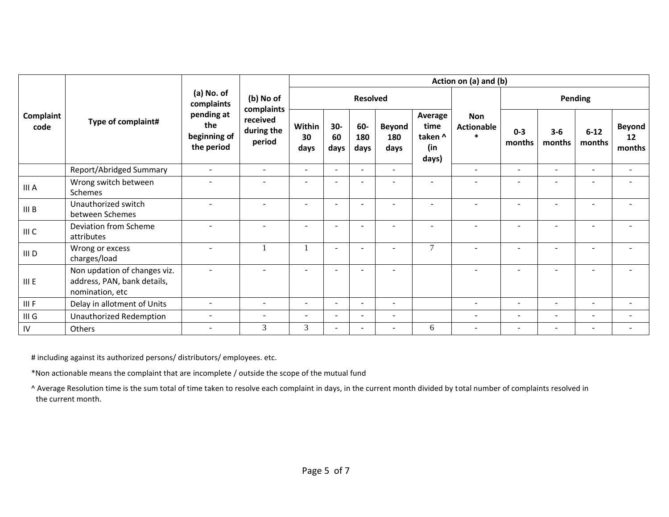|                   | Type of complaint#                                                             | (a) No. of<br>complaints<br>pending at<br>the<br>beginning of<br>the period | (b) No of<br>complaints<br>received<br>during the<br>period | Action on (a) and (b)    |                          |                    |                              |                                            |                                           |                          |                          |                          |                               |
|-------------------|--------------------------------------------------------------------------------|-----------------------------------------------------------------------------|-------------------------------------------------------------|--------------------------|--------------------------|--------------------|------------------------------|--------------------------------------------|-------------------------------------------|--------------------------|--------------------------|--------------------------|-------------------------------|
| Complaint<br>code |                                                                                |                                                                             |                                                             |                          |                          | <b>Resolved</b>    |                              |                                            |                                           | <b>Pending</b>           |                          |                          |                               |
|                   |                                                                                |                                                                             |                                                             | Within<br>30<br>days     | 30-<br>60<br>days        | 60-<br>180<br>days | <b>Beyond</b><br>180<br>days | Average<br>time<br>taken ^<br>(in<br>days) | <b>Non</b><br><b>Actionable</b><br>$\ast$ | $0 - 3$<br>months        | $3 - 6$<br>months        | $6 - 12$<br>months       | <b>Beyond</b><br>12<br>months |
|                   | Report/Abridged Summary                                                        | $\sim$                                                                      | $\overline{\phantom{a}}$                                    | $\sim$                   | ٠                        |                    | $\sim$                       |                                            | $\equiv$                                  | $\overline{\phantom{a}}$ | $\blacksquare$           | $\overline{\phantom{a}}$ | $\overline{\phantom{a}}$      |
| III A             | Wrong switch between<br>Schemes                                                |                                                                             |                                                             | $\overline{\phantom{a}}$ |                          |                    | $\overline{\phantom{a}}$     | $\sim$                                     |                                           |                          |                          |                          |                               |
| III B             | Unauthorized switch<br>between Schemes                                         |                                                                             |                                                             | $\blacksquare$           | $\equiv$                 |                    | $\overline{\phantom{a}}$     |                                            |                                           |                          | $\overline{\phantom{a}}$ |                          |                               |
| III C             | Deviation from Scheme<br>attributes                                            |                                                                             |                                                             | $\blacksquare$           |                          |                    | $\overline{\phantom{a}}$     | $\sim$                                     |                                           |                          |                          |                          |                               |
| III D             | Wrong or excess<br>charges/load                                                | $\sim$                                                                      |                                                             |                          |                          |                    |                              | $\tau$                                     | $\blacksquare$                            |                          |                          |                          |                               |
| III E             | Non updation of changes viz.<br>address, PAN, bank details,<br>nomination, etc | $\sim$                                                                      |                                                             | ۰                        | $\overline{\phantom{a}}$ |                    | $\overline{\phantom{a}}$     |                                            |                                           |                          |                          |                          | ۰                             |
| III F             | Delay in allotment of Units                                                    | $\sim$                                                                      | $\blacksquare$                                              | $\blacksquare$           | ۰                        |                    | $\sim$                       |                                            | $\overline{\phantom{0}}$                  | $\overline{\phantom{a}}$ | $\blacksquare$           | $\overline{\phantom{a}}$ | ۰                             |
| III G             | Unauthorized Redemption                                                        | $\overline{\phantom{a}}$                                                    | $\overline{\phantom{a}}$                                    | $\overline{\phantom{a}}$ | $\equiv$                 |                    | $\overline{\phantom{a}}$     |                                            | $\overline{\phantom{0}}$                  | $\overline{\phantom{a}}$ | $\overline{\phantom{a}}$ | $\overline{\phantom{a}}$ | ۰                             |
| IV                | Others                                                                         | $\overline{\phantom{a}}$                                                    | 3                                                           | 3                        |                          |                    | $\overline{\phantom{a}}$     | 6                                          | $\overline{\phantom{a}}$                  | $\overline{\phantom{a}}$ | $\overline{\phantom{a}}$ | $\overline{\phantom{a}}$ |                               |

# including against its authorized persons/ distributors/ employees. etc.

\*Non actionable means the complaint that are incomplete / outside the scope of the mutual fund

^ Average Resolution time is the sum total of time taken to resolve each complaint in days, in the current month divided by total number of complaints resolved in the current month.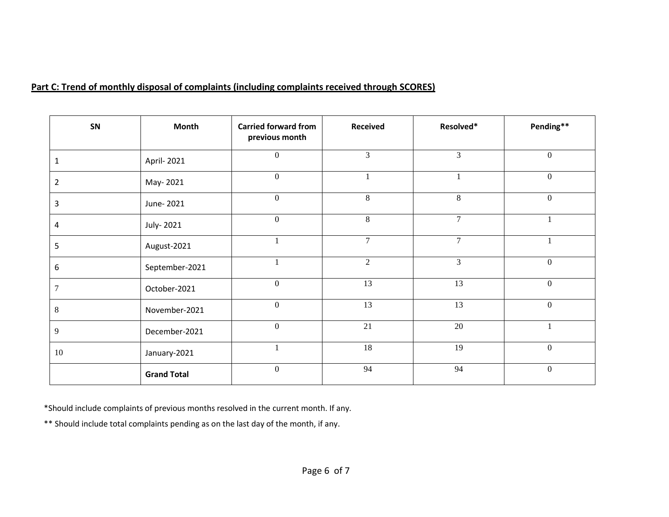### **Part C: Trend of monthly disposal of complaints (including complaints received through SCORES)**

| SN    | Month              | <b>Carried forward from</b><br>previous month | Received       | Resolved*      | Pending**        |
|-------|--------------------|-----------------------------------------------|----------------|----------------|------------------|
| ı     | April- 2021        | $\mathbf{0}$                                  | 3              | $\overline{3}$ | $\boldsymbol{0}$ |
| 2     | May-2021           | $\boldsymbol{0}$                              |                |                | $\boldsymbol{0}$ |
| 3     | June-2021          | $\boldsymbol{0}$                              | 8              | 8              | $\boldsymbol{0}$ |
| 4     | July-2021          | $\boldsymbol{0}$                              | $\,8\,$        | $\overline{7}$ |                  |
| 5     | August-2021        |                                               | $\overline{7}$ | $\overline{7}$ |                  |
| 6     | September-2021     |                                               | $\overline{2}$ | $\overline{3}$ | $\boldsymbol{0}$ |
| 7     | October-2021       | $\boldsymbol{0}$                              | 13             | 13             | $\mathbf{0}$     |
| $8\,$ | November-2021      | $\mathbf{0}$                                  | 13             | 13             | $\mathbf{0}$     |
| 9     | December-2021      | $\boldsymbol{0}$                              | 21             | 20             |                  |
| 10    | January-2021       |                                               | 18             | 19             | $\Omega$         |
|       | <b>Grand Total</b> | $\mathbf{0}$                                  | 94             | 94             | $\mathbf{0}$     |

\*Should include complaints of previous months resolved in the current month. If any.

\*\* Should include total complaints pending as on the last day of the month, if any.